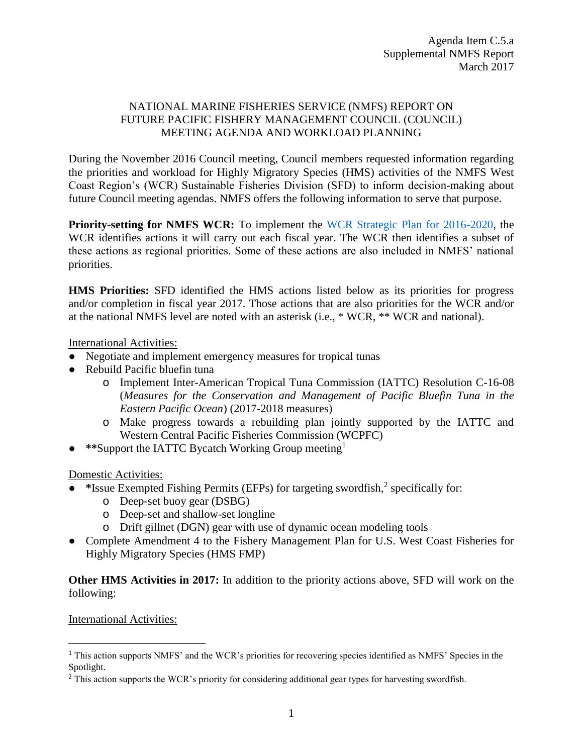## NATIONAL MARINE FISHERIES SERVICE (NMFS) REPORT ON FUTURE PACIFIC FISHERY MANAGEMENT COUNCIL (COUNCIL) MEETING AGENDA AND WORKLOAD PLANNING

During the November 2016 Council meeting, Council members requested information regarding the priorities and workload for Highly Migratory Species (HMS) activities of the NMFS West Coast Region's (WCR) Sustainable Fisheries Division (SFD) to inform decision-making about future Council meeting agendas. NMFS offers the following information to serve that purpose.

**Priority-setting for NMFS WCR:** To implement the [WCR Strategic Plan for 2016-2020,](http://www.westcoast.fisheries.noaa.gov/publications/about/wcr_strategic_plan_final_7-10-15.pdf) the WCR identifies actions it will carry out each fiscal year. The WCR then identifies a subset of these actions as regional priorities. Some of these actions are also included in NMFS' national priorities.

**HMS Priorities:** SFD identified the HMS actions listed below as its priorities for progress and/or completion in fiscal year 2017. Those actions that are also priorities for the WCR and/or at the national NMFS level are noted with an asterisk (i.e., \* WCR, \*\* WCR and national).

International Activities:

- Negotiate and implement emergency measures for tropical tunas
- Rebuild Pacific bluefin tuna
	- o Implement Inter-American Tropical Tuna Commission (IATTC) Resolution C-16-08 (*Measures for the Conservation and Management of Pacific Bluefin Tuna in the Eastern Pacific Ocean*) (2017-2018 measures)
	- o Make progress towards a rebuilding plan jointly supported by the IATTC and Western Central Pacific Fisheries Commission (WCPFC)
- \*\*Support the IATTC Bycatch Working Group meeting<sup>1</sup>

Domestic Activities:

- \*Issue Exempted Fishing Permits (EFPs) for targeting swordfish,<sup>2</sup> specifically for:
	- o Deep-set buoy gear (DSBG)
	- o Deep-set and shallow-set longline
	- o Drift gillnet (DGN) gear with use of dynamic ocean modeling tools
- Complete Amendment 4 to the Fishery Management Plan for U.S. West Coast Fisheries for Highly Migratory Species (HMS FMP)

**Other HMS Activities in 2017:** In addition to the priority actions above, SFD will work on the following:

## International Activities:

 $\overline{\phantom{a}}$ 

<sup>1</sup> This action supports NMFS' and the WCR's priorities for recovering species identified as NMFS' Species in the Spotlight.

<sup>&</sup>lt;sup>2</sup> This action supports the WCR's priority for considering additional gear types for harvesting swordfish.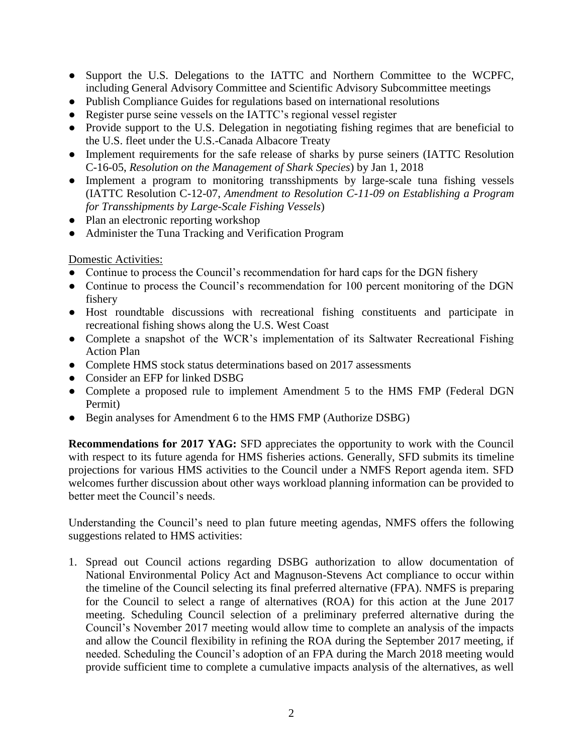- Support the U.S. Delegations to the IATTC and Northern Committee to the WCPFC, including General Advisory Committee and Scientific Advisory Subcommittee meetings
- Publish Compliance Guides for regulations based on international resolutions
- Register purse seine vessels on the IATTC's regional vessel register
- Provide support to the U.S. Delegation in negotiating fishing regimes that are beneficial to the U.S. fleet under the U.S.-Canada Albacore Treaty
- Implement requirements for the safe release of sharks by purse seiners (IATTC Resolution C-16-05, *Resolution on the Management of Shark Species*) by Jan 1, 2018
- Implement a program to monitoring transshipments by large-scale tuna fishing vessels (IATTC Resolution C-12-07, *Amendment to Resolution C-11-09 on Establishing a Program for Transshipments by Large-Scale Fishing Vessels*)
- Plan an electronic reporting workshop
- Administer the Tuna Tracking and Verification Program

## Domestic Activities:

- Continue to process the Council's recommendation for hard caps for the DGN fishery
- Continue to process the Council's recommendation for 100 percent monitoring of the DGN fishery
- Host roundtable discussions with recreational fishing constituents and participate in recreational fishing shows along the U.S. West Coast
- Complete a snapshot of the WCR's implementation of its Saltwater Recreational Fishing Action Plan
- Complete HMS stock status determinations based on 2017 assessments
- Consider an EFP for linked DSBG
- Complete a proposed rule to implement Amendment 5 to the HMS FMP (Federal DGN Permit)
- Begin analyses for Amendment 6 to the HMS FMP (Authorize DSBG)

**Recommendations for 2017 YAG:** SFD appreciates the opportunity to work with the Council with respect to its future agenda for HMS fisheries actions. Generally, SFD submits its timeline projections for various HMS activities to the Council under a NMFS Report agenda item. SFD welcomes further discussion about other ways workload planning information can be provided to better meet the Council's needs.

Understanding the Council's need to plan future meeting agendas, NMFS offers the following suggestions related to HMS activities:

1. Spread out Council actions regarding DSBG authorization to allow documentation of National Environmental Policy Act and Magnuson-Stevens Act compliance to occur within the timeline of the Council selecting its final preferred alternative (FPA). NMFS is preparing for the Council to select a range of alternatives (ROA) for this action at the June 2017 meeting. Scheduling Council selection of a preliminary preferred alternative during the Council's November 2017 meeting would allow time to complete an analysis of the impacts and allow the Council flexibility in refining the ROA during the September 2017 meeting, if needed. Scheduling the Council's adoption of an FPA during the March 2018 meeting would provide sufficient time to complete a cumulative impacts analysis of the alternatives, as well